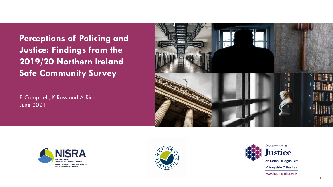**Perceptions of Policing and Justice: Findings from the 2019/20 Northern Ireland Safe Community Survey**

P Campbell, K Ross and A Rice June 2021







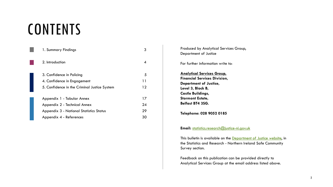# **CONTENTS**

| 1. Summary Findings                            |    |
|------------------------------------------------|----|
| 2. Introduction                                |    |
| 3. Confidence in Policing                      | 5  |
| 4. Confidence in Engagement                    | 11 |
| 5. Confidence in the Criminal Justice System   | 12 |
| Appendix 1 - Tabular Annex                     | 17 |
| Appendix 2 - Technical Annex                   | 24 |
| <b>Appendix 3 - National Statistics Status</b> | 29 |
| Appendix 4 - References                        | 30 |

Produced by Analytical Services Group, Department of Justice For further information write to: **Analytical Services Group, Financial Services Division, Department of Justice, Level 3, Block B, Castle Buildings, Stormont Estate, Belfast BT4 3SG. Telephone: 028 9052 0185**

**Email:** [statistics.research@justice-ni.gov.uk](mailto:statistics.research@justice-ni.x.gsi.gov.uk)

This bulletin is available on the **Department of Justice website**, in the Statistics and Research - Northern Ireland Safe Community Survey section.

Feedback on this publication can be provided directly to Analytical Services Group at the email address listed above.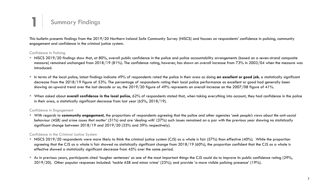## **1** Summary Findings

This bulletin presents findings from the 2019/20 Northern Ireland Safe Community Survey (NISCS) and focuses on respondents' confidence in policing, community engagement and confidence in the criminal justice system.

### Confidence in Policing

- NISCS 2019/20 findings show that, at 80%, overall public confidence in the police and police accountability arrangements (based on a seven-strand composite measure) remained unchanged from 2018/19 (81%). The confidence rating, however, has shown an overall increase from 73% in 2003/04 when the measure was introduced.
- In terms of the local police, latest findings indicate 49% of respondents rated the police in their area as doing **an excellent or good job,** a statistically significant decrease from the 2018/19 figure of 53%. The percentage of respondents rating their local police performance as excellent or good had generally been showing an upward trend over the last decade or so; the 2019/20 figure of 49% represents an overall increase on the 2007/08 figure of 41%.
- When asked about **overall confidence in the local police**, 62% of respondents stated that, when taking everything into account, they had confidence in the police in their area, a statistically significant decrease from last year (65%, 2018/19).

### Confidence in Engagement

 With regards to **community engagement**, the proportions of respondents agreeing that the police and other agencies '*seek people's views about the anti-social behaviour (ASB) and crime issues that matter*' (31%) and are '*dealing with*' (37%) such issues remained on a par with the previous year showing no statistically significant change between 2018/19 and 2019/20 (33% and 39% respectively).

### Confidence in the Criminal Justice System

- NISCS 2019/20 respondents were more likely to think the criminal justice system (CJS) as a whole is fair (57%) than effective (40%). While the proportion agreeing that the CJS as a whole is fair showed no statistically significant change from 2018/19 (60%), the proportion confident that the CJS as a whole is effective showed a statistically significant decrease from 45% over the same period.
- As in previous years, participants cited 'tougher sentences' as one of the most important things the CJS could do to improve its public confidence rating (29%, 2019/20). Other popular responses included: 'tackle ASB and minor crime' (23%); and provide 'a more visible policing presence' (19%).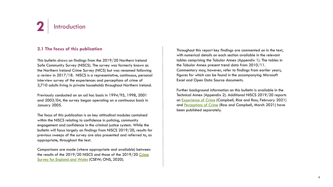

### **2.1 The focus of this publication**

This bulletin draws on findings from the 2019/20 Northern Ireland Safe Community Survey (NISCS). The survey was formerly known as the Northern Ireland Crime Survey (NICS) but was renamed following a review in 2017/18. NISCS is a representative, continuous, personal interview survey of the experiences and perceptions of crime of 3,710 adults living in private households throughout Northern Ireland.

Previously conducted on an ad hoc basis in 1994/95, 1998, 2001 and 2003/04, the survey began operating on a continuous basis in January 2005.

The focus of this publication is on key attitudinal modules contained within the NISCS relating to confidence in policing, community engagement and confidence in the criminal justice system. While the bulletin will focus largely on findings from NISCS 2019/20, results for previous sweeps of the survey are also presented and referred to, as appropriate, throughout the text.

Comparisons are made (where appropriate and available) between [the results of the 2019/20 NISCS and those of the 2019/20 Crime](https://www.ons.gov.uk/peoplepopulationandcommunity/crimeandjustice/bulletins/crimeinenglandandwales/yearendingmarch2020) Survey for England and Wales (CSEW; ONS, 2020).

Throughout this report key findings are commented on in the text, with numerical details on each section available in the relevant tables comprising the Tabular Annex (Appendix 1). The tables in the Tabular Annex present trend data from 2010/11. Commentary may, however, refer to findings from earlier years, figures for which can be found in the accompanying Microsoft Excel and Open Data Source documents.

Further background information on this bulletin is available in the Technical Annex (Appendix 2). Additional NISCS 2019/20 reports on [Experience of Crime](https://www.justice-ni.gov.uk/publications/experience-crime-findings-201920-northern-ireland-safe-community-survey) (Campbell, Rice and Ross, February 2021) and [Perceptions of Crime](https://www.justice-ni.gov.uk/publications/perceptions-crime-findings-201920-northern-ireland-safe-community-survey) (Ross and Campbell, March 2021) have been published separately.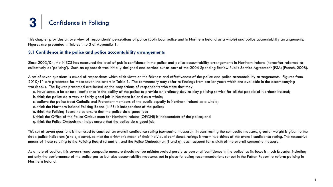This chapter provides an overview of respondents' perceptions of police (both local police and in Northern Ireland as a whole) and police accountability arrangements. Figures are presented in Tables 1 to 3 of Appendix 1.

### **3.1 Confidence in the police and police accountability arrangements**

Since 2003/04, the NISCS has measured the level of public confidence in the police and police accountability arrangements in Northern Ireland (hereafter referred to collectively as 'policing'). Such an approach was initially designed and carried out as part of the 2004 Spending Review Public Service Agreement (PSA) (French, 2008).

A set of seven questions is asked of respondents which elicit views on the fairness and effectiveness of the police and police accountability arrangements. Figures from 2010/11 are presented for these seven indicators in Table 1. The commentary may refer to findings from earlier years which are available in the accompanying workbooks. The figures presented are based on the proportions of respondents who state that they:

- a. have some, a lot or total confidence in the ability of the police to provide an ordinary day-to-day policing service for all the people of Northern Ireland;
- b. think the police do a very or fairly good job in Northern Ireland as a whole;
- c. believe the police treat Catholic and Protestant members of the public equally in Northern Ireland as a whole;
- d. think the Northern Ireland Policing Board (NIPB) is independent of the police;
- e. think the Policing Board helps ensure that the police do a good job;
- f. think the Office of the Police Ombudsman for Northern Ireland (OPONI) is independent of the police; and
- g. think the Police Ombudsman helps ensure that the police do a good job.

This set of seven questions is then used to construct an overall confidence rating (composite measure). In constructing the composite measure, greater weight is given to the three police indicators (a to c, above), so that the arithmetic mean of their individual confidence ratings is worth two-thirds of the overall confidence rating. The respective means of those relating to the Policing Board (d and e), and the Police Ombudsman (f and g), each account for a sixth of the overall composite measure.

As a note of caution, this seven-strand composite measure should not be misinterpreted purely as personal 'confidence in the police' as its focus is much broader including not only the performance of the police per se but also accountability measures put in place following recommendations set out in the Patten Report to reform policing in Northern Ireland.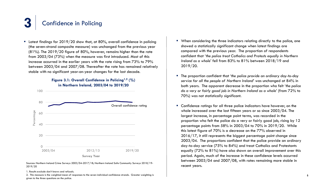■ Latest findings for 2019/20 show that, at 80%, overall confidence in policing (the seven-strand composite measure) was unchanged from the previous year (81%). The 2019/20 figure of 80%, however, remains higher than the rate from 2003/04 (73%) when the measure was first introduced. Most of this increase occurred in the earlier years with the rate rising from 73% to 79% between 2003/04 and 2007/08. Thereafter the rate has remained relatively stable with no significant year-on-year changes for the last decade.



Sources: Northern Ireland Crime Surveys 2003/04-2017/18; Northern Ireland Safe Community Surveys 2018/19- 2019/20

1. Results exclude don't knows and refusals.

2. This measure is the weighted mean of responses to the seven individual confidence strands. Greater weighting is given to the three questions on the police.

- When considering the three indicators relating directly to the police, one showed a statistically significant change when latest findings are compared with the previous year. The proportion of respondents confident that *'the police treat Catholics and Protests equally in Northern Ireland as a whole*' fell from 83% to 81% between 2018/19 and 2019/20.
- The proportion confident that '*the police provide an ordinary day-to-day service for all the people of Northern Ireland*' was unchanged at 84% in both years. The apparent decrease in the proportion who felt '*the police do a very or fairly good job in Northern Ireland as a whole*' (from 72% to 70%) was not statistically significant.
- **E** Confidence ratings for all three police indicators have however, on the whole increased over the last fifteen years or so since 2003/04. The largest increase, in percentage point terms, was recorded in the proportion who felt the police do a very or fairly good job, rising by 12 percentage points from 58% in 2003/04 to 70% in 2019/20. While this latest figure of 70% is a decrease on the 77% observed in 2016/17, it still represents the biggest percentage point change since 2003/04. The proportions confident that the police provide an ordinary day-to-day service (75% to 84%) and treat Catholics and Protestants equally (72% to 81%) have also shown an overall improvement over this period. Again, much of the increase in these confidence levels occurred between 2003/04 and 2007/08, with rates remaining more stable in recent years.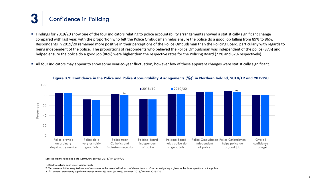- Findings for 2019/20 show one of the four indicators relating to police accountability arrangements showed a statistically significant change compared with last year, with the proportion who felt the Police Ombudsman helps ensure the police do a good job falling from 89% to 86%. Respondents in 2019/20 remained more positive in their perceptions of the Police Ombudsman than the Policing Board, particularly with regards to being independent of the police. The proportions of respondents who believed the Police Ombudsman was independent of the police (87%) and helped ensure the police do a good job (86%) were higher than the respective rates for the Policing Board (72% and 82% respectively).
- All four indicators may appear to show some year-to-year fluctuation, however few of these apparent changes were statistically significant.



**Figure 3.2: Confidence in the Police and Police Accountability Arrangements (%)1 in Northern Ireland, 2018/19 and 2019/20**

Sources: Northern Ireland Safe Community Surveys 2018/19-2019/20

1. Results exclude don't knows and refusals.

- 2. This measure is the weighted mean of responses to the seven individual confidence strands. Greater weighting is given to the three questions on the police.
- 3. '\*\*' denotes statistically significant change at the 5% level (p<0.05) between 2018/19 and 2019/20.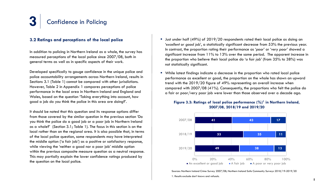

### **3.2 Ratings and perceptions of the local police**

In addition to policing in Northern Ireland as a whole, the survey has measured perceptions of the local police since 2007/08, both in general terms as well as in specific aspects of their work.

Developed specifically to gauge confidence in the unique police and police accountability arrangements across Northern Ireland, results in Sections 3.1 (Table 1) cannot be compared with other jurisdictions. However, Table 2 in Appendix 1 compares perceptions of police performance in the local area in Northern Ireland and England and Wales, based on the question 'Taking everything into account, how good a job do you think the police in this area are doing?'.

It should be noted that this question and its response options differ from those covered by the similar question in the previous section 'Do you think the police do a good job or a poor job in Northern Ireland as a whole?' (Section 3.1; Table 1). The focus in this section is on the local rather than on the regional area. It is also possible that, in terms of the local police question, some respondents may have interpreted the middle option ('a fair job') as a positive or satisfactory response, while viewing the 'neither a good nor a poor job' middle option within the previous composite measure question as a neutral response. This may partially explain the lower confidence ratings produced by the question on the local police.

- **Just under half (49%) of 2019/20 respondents rated their local police as doing an** '*excellent or good job*', a statistically significant decrease from 53% the previous year. In contrast, the proportion rating their performance as '*poor*' or '*very poor'* showed a significant increase from 11% to 13% over the same period. The apparent increase in the proportion who believe their local police do '*a fair job*' (from 35% to 38%) was not statistically significant.
- While latest findings indicate a decrease in the proportion who rated local police performance as excellent or good, the proportion on the whole has shown an upward trend with the 2019/20 figure of 49% representing an overall increase when compared with 2007/08 (41%). Consequently, the proportions who felt the police do a fair or poor/very poor job were lower than those observed over a decade ago.

### **Figure 3.3: Ratings of local police performance (%)1 in Northern Ireland, 2007/08, 2018/19 and 2019/20**



Sources: Northern Ireland Crime Survey 2007/08; Northern Ireland Safe Community Surveys 2018/19-2019/20 1. Results exclude don't knows and refusals.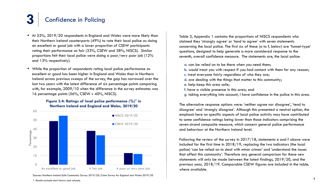- At 55%, 2019/20 respondents in England and Wales were more likely than their Northern Ireland counterparts (49%) to rate their local police as doing an excellent or good job with a lower proportion of CSEW participants rating their performance as fair (33%, CSEW and 38%, NISCS). Similar proportions felt their local police were doing a poor/very poor job (12% and 13% respectively).
- While the proportion of respondents rating local police performance as excellent or good has been higher in England and Wales than in Northern Ireland across previous sweeps of the survey, the gap has narrowed over the last two years with the latest difference of six percentage points comparing with, for example, 2009/10 when the difference in the survey estimates was 16 percentage points (56%, CSEW v 40%, NISCS).

### **Figure 3.4: Ratings of local police performance (%)1 in Northern Ireland and England and Wales, 2019/20**



Sources: Northern Ireland Safe Community Survey 2019/20; Crime Survey for England and Wales 2019/20 1. Results exclude don't knows and refusals.

Table 3, Appendix 1 contains the proportions of NISCS respondents who claimed they 'strongly agree' or 'tend to agree' with seven statements concerning the local police. The first six of these (a to f, below) are 'funnel-type' questions, designed to help generate a more considered response to the seventh, overall confidence measure. The statements are, the local police:

- a. can be relied on to be there when you need them;
- b. would treat you with respect if you had contact with them for any reason;
- c. treat everyone fairly regardless of who they are;
- d. are dealing with the things that matter to this community;
- e. help keep this area safe;
- f. have a visible presence in this area; and
- g. taking everything into account, I have confidence in the police in this area.

The alternative response options were: 'neither agree nor disagree', 'tend to disagree' and 'strongly disagree'. Although this presented a neutral option, the emphasis here on specific aspects of local police activity may have contributed to some confidence ratings being lower than those indicators comprising the seven-strand composite measure, which concern general police performance and behaviour at the Northern Ireland level.

Following the review of the survey in 2017/18, statements e and f above were included for the first time in 2018/19, replacing the two indicators (the local police) 'can be relied on to deal with minor crimes' and 'understand the issues that affect this community'. Therefore any general comparison for these new statements will only be made between the latest findings, 2019/20, and the previous year, 2018/19. Comparable CSEW figures are included in the table, where available.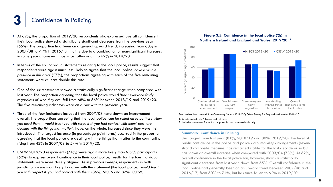- At 62%, the proportion of 2019/20 respondents who expressed overall confidence in their local police showed a statistically significant decrease from the previous year (65%). The proportion had been on a general upward trend, increasing from 60% in 2007/08 to 71% in 2016/17, mainly due to a combination of non-significant increases in some years, however it has since fallen again to 62% in 2019/20.
- In terms of the six individual statements relating to the local police, results suggest that respondents were again much less likely to agree that the local police '*have a visible presence in this area*' (27%); the proportions agreeing with each of the five remaining statements were at least double this rate.
- One of the six statements showed a statistically significant change when compared with last year. The proportion agreeing that the local police would '*treat everyone fairly regardless of who they are*' fell from 68% to 66% between 2018/19 and 2019/20. The five remaining indicators were on a par with the previous year.
- **Three of the four indicators included from 2007/08 have shown an improvement** overall. The proportions agreeing that the local police '*can be relied on to be there when you need them'*, '*would treat you with respect if you had contact with them'* and '*are dealing with the things that matter',* have, on the whole, increased since they were first introduced. The largest increase (in percentage point terms) occurred in the proportion agreeing that the local police are dealing with the things that matter to the community, rising from 42% in 2007/08 to 54% in 2019/20.
- CSEW 2019/20 respondents (74%) were again more likely than NISCS participants (62%) to express overall confidence in their local police; results for the four individual statements were more closely aligned. As in previous sweeps, respondents in both jurisdictions were most likely to agree with the statement (the local police) '*would treat you with respect if you had contact with them*' (86%, NISCS and 87%, CSEW).

### **Figure 3.5: Confidence in the local police (%) in Northern Ireland and England and Wales, 2019/201,2**



Sources: Northern Ireland Safe Community Survey 2019/20; Crime Survey for England and Wales 2019/20

1. Results exclude don't knows and refusals.

2. Includes statements for which comparable data are available only.

### **Summary: Confidence in Policing**

Unchanged from last year (81%, 2018/19 and 80%, 2019/20), the level of public confidence in the police and police accountability arrangements (sevenstrand composite measure) has remained stable for the last decade or so but has shown an overall increase when compared with 2003/04 (73%). At 62%, overall confidence in the local police has, however, shown a statistically significant decrease from last year, down from 65%. Overall confidence in the local police had generally been on an upward trend between 2007/08 and 2016/17, from 60% to 71%, but has since fallen to 62% in 2019/20.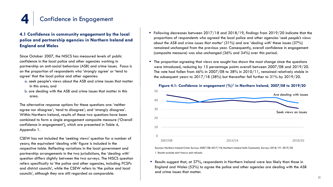

### **4.1 Confidence in community engagement by the local police and partnership agencies in Northern Ireland and England and Wales**

Since October 2007, the NISCS has measured levels of public confidence in the local police and other agencies working in partnership on anti-social behaviour (ASB) and crime issues. Focus is on the proportion of respondents who 'strongly agree' or 'tend to agree' that the local police and other agencies:

- a. seek people's views about the ASB and crime issues that matter in this area; and
- b. are dealing with the ASB and crime issues that matter in this area.

The alternative response options for these questions are: 'neither agree nor disagree'; 'tend to disagree'; and 'strongly disagree'. Within Northern Ireland, results of these two questions have been combined to form a single engagement composite measure ('Overall confidence in engagement'), which are presented in Table 4, Appendix 1.

CSEW has not included the 'seeking views' question for a number of years; the equivalent 'dealing with' figure is included in the respective table. Reflecting variations in the local government and partnership arrangements in the two jurisdictions, the 'dealing with' question differs slightly between the two surveys. The NISCS question refers specifically to 'the police and other agencies, including PCSPs and district councils', while the CSEW refers to 'the police and local councils', although they are still regarded as comparable.

- Following decreases between 2017/18 and 2018/19, findings from 2019/20 indicate that the proportions of respondents who agreed the local police and other agencies '*seek people's views about the ASB and crime issues that matter*' (31%) and are *'dealing with*' these issues (37%) remained unchanged from the previous year. Consequently, overall confidence in engagement (composite measure) was also unchanged (36% and 34%) over this period.
- The proportion agreeing that views are sought has shown the most change since the questions were introduced, reducing by 15 percentage points overall between 2007/08 and 2019/20. The rate had fallen from 46% in 2007/08 to 38% in 2010/11, remained relatively stable in the subsequent years to 2017/18 (38%) but thereafter fell further to 31% by 2019/20.



### **Figure 4.1: Confidence in engagement (%)1 in Northern Ireland, 2007/08 to 2019/20**

Sources: Northern Ireland Crime Surveys 2007/08-2017/18; Northern Ireland Safe Community Surveys 2018/19- 2019/20 1. Results exclude don't knows and refusals.

 Results suggest that, at 37%, respondents in Northern Ireland were less likely than those in England and Wales (52%) to agree the police and other agencies are dealing with the ASB and crime issues that matter.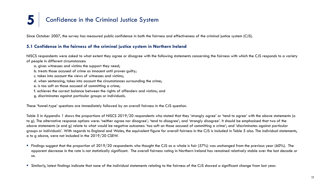Since October 2007, the survey has measured public confidence in both the fairness and effectiveness of the criminal justice system (CJS).

### **5.1 Confidence in the fairness of the criminal justice system in Northern Ireland**

NISCS respondents were asked to what extent they agree or disagree with the following statements concerning the fairness with which the CJS responds to a variety of people in different circumstances:

- a. gives witnesses and victims the support they need;
- b. treats those accused of crime as innocent until proven guilty;
- c. takes into account the views of witnesses and victims;
- d. when sentencing, takes into account the circumstances surrounding the crime;
- e. is too soft on those accused of committing a crime;
- f. achieves the correct balance between the rights of offenders and victims; and
- g. discriminates against particular groups or individuals.

These 'funnel-type' questions are immediately followed by an overall fairness in the CJS question.

Table 5 in Appendix 1 shows the proportions of NISCS 2019/20 respondents who stated that they 'strongly agree' or 'tend to agree' with the above statements (a to g). The alternative response options were: 'neither agree nor disagree'; 'tend to disagree'; and 'strongly disagree'. It should be emphasised that two of the above statements (e and g) relate to what would be negative outcomes: 'too soft on those accused of committing a crime'; and 'discriminates against particular groups or individuals'. With regards to England and Wales, the equivalent figure for overall fairness in the CJS is included in Table 5 also. The individual statements, a to g above, were not included in the 2019/20 CSEW.

- Findings suggest that the proportion of 2019/20 respondents who thought the CJS as a whole is fair (57%) was unchanged from the previous year (60%). The apparent decrease in the rate is not statistically significant. The overall fairness rating in Northern Ireland has remained relatively stable over the last decade or so.
- Similarly, latest findings indicate that none of the individual statements relating to the fairness of the CJS showed a significant change from last year.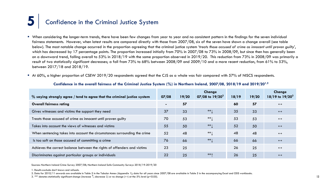- When considering the longer-term trends, there have been few changes from year to year and no consistent pattern in the findings for the seven individual fairness statements. However, when latest results are compared directly with those from 2007/08, six of the seven have shown a change overall (see table below). The most notable change occurred in the proportion agreeing that the criminal justice system '*treats those accused of crime as innocent until proven guilty*', which has decreased by 17 percentage points. The proportion increased initially from 70% in 2007/08 to 73% in 2008/09, but since then has generally been on a downward trend, falling overall to 53% in 2018/19 with the same proportion observed in 2019/20. This reduction from 73% in 2008/09 was primarily a result of two statistically significant decreases; a fall from 73% to 68% between 2008/09 and 2009/10 and a more recent reduction, from 61% to 53%, between 2017/18 and 2018/19.
- At 60%, a higher proportion of CSEW 2019/20 respondents agreed that the CJS as a whole was fair compared with 57% of NISCS respondents.

| $%$ saying strongly agree / tend to agree that the criminal justice system | 07/08 | 19/20 | Change<br>07/08 to $19/20^3$ | 18/19 | 19/20 | Change<br>18/19 to $19/20^3$ |
|----------------------------------------------------------------------------|-------|-------|------------------------------|-------|-------|------------------------------|
| <b>Overall fairness rating</b>                                             |       | 57    |                              | 60    | 57    | $\leftrightarrow$            |
| Gives witnesses and victims the support they need                          | 37    | 33    | $***$                        | 35    | 33    | $\leftrightarrow$            |
| Treats those accused of crime as innocent until proven guilty              | 70    | 53    | $***$                        | 53    | 53    | $\leftrightarrow$            |
| Takes into account the views of witnesses and victims                      | 55    | 50    | $***$                        | 52    | 50    | $\leftrightarrow$            |
| When sentencing takes into account the circumstances surrounding the crime | 52    | 48    | $***$                        | 48    | 48    | $\leftrightarrow$            |
| Is too soft on those accused of committing a crime                         | 76    | 66    | $**$                         | 66    | 66    | $\leftrightarrow$            |
| Achieves the correct balance between the rights of offenders and victims   | 23    | 25    |                              | 26    | 25    | $\leftrightarrow$            |
| Discriminates against particular groups or individuals                     | 22    | 25    | ***                          | 26    | 25    | $\leftrightarrow$            |

#### **Confidence in the overall fairness of the Criminal Justice System (%) in Northern Ireland, 2007/08, 2018/19 and 2019/201,2**

Sources: Northern Ireland Crime Survey 2007/08; Northern Ireland Safe Community Surveys 2018/19-2019/20

- 2. Data for 2010/11 onwards are available in Table 5 in the Tabular Annex (Appendix 1); data for all years since 2007/08 are available in Table 5 in the accompanying Excel and ODS workbooks.
- 3. '\*\*' denotes statistically significant change (increase  $\uparrow$ ; decrease  $\downarrow$ ) or no change ( $\leftrightarrow$ ) at the 5% level (p<0.05).

<sup>1.</sup> Results exclude don't knows and refusals.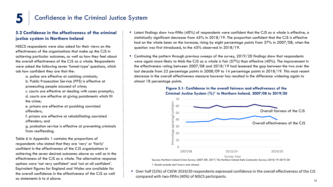### **5.2 Confidence in the effectiveness of the criminal justice system in Northern Ireland**

NISCS respondents were also asked for their views on the effectiveness of the organisations that make up the CJS in achieving particular outcomes, as well as how they feel about the overall effectiveness of the CJS as a whole. Respondents were asked the following seven 'funnel-type' questions, which ask how confident they are that the:

a. police are effective at catching criminals;

b. Public Prosecution Service (PPS) is effective at prosecuting people accused of crime;

c. courts are effective at dealing with cases promptly; d. courts are effective at giving punishments which fit the crime;

e. prisons are effective at punishing convicted offenders;

f. prisons are effective at rehabilitating convicted offenders; and

g. probation service is effective at preventing criminals from reoffending.

Table 6 in Appendix 1 contains the proportions of respondents who stated that they are 'very' or 'fairly' confident in the effectiveness of the CJS organisations in achieving the seven desired outcomes above as well as in the effectiveness of the CJS as a whole. The alternative response options were 'not very confident' and 'not at all confident'. Equivalent figures for England and Wales are available for the overall confidence in the effectiveness of the CJS as well as statements b to d above.

- Latest findings show two-fifths (40%) of respondents were confident that the CJS as a whole is effective, a statistically significant decrease from 45% in 2018/19. The proportion confident that the CJS is effective had on the whole been on the increase, rising by eight percentage points from 37% in 2007/08, when the question was first introduced, to the 45% observed in 2018/19.
- Continuing the pattern through previous sweeps of the survey, 2019/20 findings show that respondents were again more likely to think the CJS as a whole is fair (57%) than effective (40%). The improvement in the effectiveness rating between 2007/08 and 2018/19 had lessened the gap between the two over the last decade from 22 percentage points in 2008/09 to 14 percentage points in 2018/19. This most recent decrease in the overall effectiveness measure however has resulted in the difference widening again to almost 18 percentage points.

### **Figure 5.1: Confidence in the overall fairness and effectiveness of the Criminal Justice System (%)1 in Northern Ireland, 2007/08 to 2019/20**



 Over half (52%) of CSEW 2019/20 respondents expressed confidence in the overall effectiveness of the CJS compared with two-fifths (40%) of NISCS participants.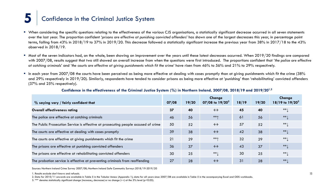- When considering the specific questions relating to the effectiveness of the various CJS organisations, a statistically significant decrease occurred in all seven statements over the last year. The proportion confident '*prisons are effective at punishing convicted offenders*' has shown one of the largest decreases this year, in percentage point terms, falling from 43% in 2018/19 to 37% in 2019/20. This decrease followed a statistically significant increase the previous year from 38% in 2017/18 to the 43% observed in 2018/19.
- Most of the seven indicators had, on the whole, been showing an improvement over the years until these latest decreases occurred. When 2019/20 findings are compared with 2007/08, results suggest that two still showed an overall increase from when the questions were first introduced. The proportions confident that *'the police are effective at catching criminals*' and '*the courts are effective at giving punishments which fit the crime*' have risen from 46% to 56% and 21% to 29% respectively.
- **In each year from 2007/08 the courts have been perceived as being more effective at dealing with cases promptly than at giving punishments which fit the crime (38%** and 29% respectively in 2019/20). Similarly, respondents have tended to consider prisons as being more effective at 'punishing' than 'rehabilitating' convicted offenders (37% and 25% respectively).

| $\%$ saying very / fairly confident that                                           | 07/08 | 19/20 | Change<br>07/08 to $19/20^3$ | 18/19 | 19/20 | Change<br>18/19 to $19/20^3$ |
|------------------------------------------------------------------------------------|-------|-------|------------------------------|-------|-------|------------------------------|
| <b>Overall effectiveness rating</b>                                                | 37    | 40    | $\leftrightarrow$            | 45    | 40    | $**$ $\downarrow$            |
| The police are effective at catching criminals                                     | 46    | 56    | ***                          | 61    | 56    | $**1$                        |
| The Public Prosecution Service is effective at prosecuting people accused of crime | 50    | 52    | $\leftrightarrow$            | 57    | 52    | $**$                         |
| The courts are effective at dealing with cases promptly                            | 39    | 38    | $\leftrightarrow$            | 42    | 38    | $**$                         |
| The courts are effective at giving punishments which fit the crime                 | 21    | 29    | ***                          | 32    | 29    | $**$ $\downarrow$            |
| The prisons are effective at punishing convicted offenders                         | 36    | 37    | $\leftrightarrow$            | 43    | 37    | $**1$                        |
| The prisons are effective at rehabilitating convicted offenders                    | 30    | 25    | $***$                        | 30    | 25    | $**$ $\downarrow$            |
| The probation service is effective at preventing criminals from reoffending        | 27    | 28    | $\leftrightarrow$            | 31    | 28    | $**$                         |

### **Confidence in the effectiveness of the Criminal Justice System (%) in Northern Ireland, 2007/08, 2018/19 and 2019/201,2**

Sources: Northern Ireland Crime Survey 2007/08; Northern Ireland Safe Community Surveys 2018/19-2019/20

1. Results exclude don't knows and refusals. 15

2. Data for 2010/11 onwards are available in Table 5 in the Tabular Annex (Appendix 1); data for all years since 2007/08 are available in Table 5 in the accompanying Excel and ODS workbooks.

3. '\*\*' denotes statistically significant change (increase,; decrease) or no change ( $\leftrightarrow$ ) at the 5% level (p<0.05).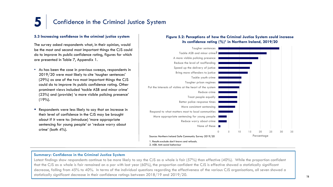### **5.3 Increasing confidence in the criminal justice system**

The survey asked respondents what, in their opinion, would be the most and second most important things the CJS could do to improve its public confidence rating, figures for which are presented in Table 7, Appendix 1.

- As has been the case in previous sweeps, respondents in 2019/20 were most likely to cite 'tougher sentences' (29%) as one of the two most important things the CJS could do to improve its public confidence rating. Other prominent views included 'tackle ASB and minor crime' (23%) and (provide) 'a more visible policing presence' (19%).
- **Respondents were less likely to say that an increase in** their level of confidence in the CJS may be brought about if it were to: (introduce) 'more appropriate sentencing for young people' or 'reduce worry about crime' (both 4%).

### **Figure 5.2: Perceptions of how the Criminal Justice System could increase its confidence rating (%)1 in Northern Ireland, 2019/20**



### **Summary: Confidence in the Criminal Justice System**

Latest findings show respondents continue to be more likely to say the CJS as a whole is fair (57%) than effective (40%). While the proportion confident that the CJS as a whole is fair remained on a par with last year (60%), the proportion confident the CJS is effective showed a statistically significant decrease, falling from 45% to 40%. In terms of the individual questions regarding the effectiveness of the various CJS organisations, all seven showed a statistically significant decrease in their confidence ratings between  $2018/19$  and  $2019/20$ .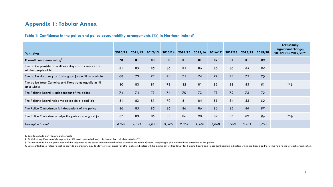### **Appendix 1: Tabular Annex**

### **Table 1: Confidence in the police and police accountability arrangements (%) in Northern Ireland1**

| % saying                                                                      | 2010/11 | 2011/12 | 2012/13 | 2013/14 | 2014/15 | 2015/16 | 2016/17 | 2017/18 | 2018/19 | 2019/20 | Statistically<br>significant change,<br>2018/19 to 2019/20? <sup>2</sup> |
|-------------------------------------------------------------------------------|---------|---------|---------|---------|---------|---------|---------|---------|---------|---------|--------------------------------------------------------------------------|
| Overall confidence rating <sup>3</sup>                                        | 78      | 81      | 80      | 80      | 81      | 81      | 82      | 81      | 81      | 80      |                                                                          |
| The police provide an ordinary day-to-day service for<br>all the people of NI | 81      | 85      | 85      | 86      | 85      | 86      | 86      | 86      | 84      | 84      |                                                                          |
| The police do a very or fairly good job in NI as a whole                      | 68      | 73      | 72      | 74      | 75      | 74      | 77      | 74      | 72      | 70      |                                                                          |
| The police treat Catholics and Protestants equally in NI<br>as a whole        | 80      | 83      | 81      | 78      | 82      | 81      | 83      | 83      | 83      | 81      | $** \downarrow$                                                          |
| The Policing Board is independent of the police                               | 74      | 74      | 73      | 74      | 70      | 73      | 73      | 72      | 73      | 72      |                                                                          |
| The Policing Board helps the police do a good job                             | 81      | 83      | 81      | 79      | 81      | 84      | 85      | 84      | 83      | 82      |                                                                          |
| The Police Ombudsman is independent of the police                             | 86      | 85      | 85      | 86      | 86      | 86      | 86      | 85      | 86      | 87      |                                                                          |
| The Police Ombudsman helps the police do a good job                           | 87      | 83      | 85      | 85      | 86      | 90      | 89      | 87      | 89      | 86      | $\ast\ast\bigarrow$                                                      |
| Unweighted base <sup>4</sup>                                                  | 4,047   | 4,041   | 4,021   | 3,575   | 2,062   | 1,960   | 1,860   | 1,568   | 3,401   | 3,695   |                                                                          |

1. Results exclude don't knows and refusals.

2. Statistical significance of change at the 5% level (two-tailed test) is indicated by a double asterisk (\*\*).

3. This measure is the weighted mean of the responses to the seven individual confidence strands in the table. Greater weighting is given to the three questions on the police.

4. Unweighted base refers to 'police provide an ordinary day-to-day service'. Bases for other police indicators will be similar but will be lower for Policing Board and Police Ombudsman indicators which are based on those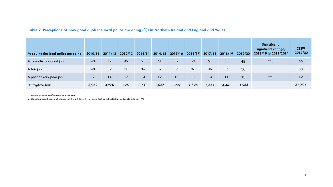### **Table 2: Perceptions of how good a job the local police are doing (%) in Northern Ireland and England and Wales1**

| $\%$ saying the local police are doing | 2010/11 | 2011/12 | 2012/13 | 2013/14 | 2014/15 | 2015/16 | 2016/17 | 2017/18 | 2018/19 | 2019/20 | <b>Statistically</b><br>significant change,<br>2018/19 to 2019/20? <sup>2</sup> | <b>CSEW</b><br>2019/20 |
|----------------------------------------|---------|---------|---------|---------|---------|---------|---------|---------|---------|---------|---------------------------------------------------------------------------------|------------------------|
| An excellent or good job               | 43      | 47      | 49      | 51      | 51      | 52      | 53      | 51      | 53      | 49      | $**$                                                                            | 55                     |
| A fair job                             | 40      | 39      | 38      | 36      | 37      | 36      | 36      | 36      | 35      | 38      |                                                                                 | 33                     |
| A poor or very poor job                | 17      | 14      | 13      | 13      | 12      | 13      | 11      | 13      | 11      | 13      | $***\Lambda$                                                                    | 12                     |
| Unweighted base                        | 3,952   | 3,970   | 3,961   | 3,513   | 2,037   | 927, ا  | 1,828   | 1,554   | 3,362   | 3,644   |                                                                                 | 31,791                 |

1. Results exclude don't knows and refusals.

2. Statistical significance of change at the 5% level (two-tailed test) is indicated by a double asterisk (\*\*).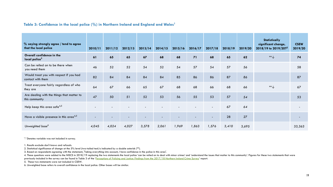### Table 3: Confidence in the local police (%) in Northern Ireland and England and Wales<sup>1</sup>

| % saying strongly agree / tend to agree<br>that the local police | 2010/11 | 2011/12 | 2012/13 | 2013/14 | 2014/15 | 2015/16 | 2016/17 | 2017/18                  | 2018/19 | 2019/20 | Statistically<br>significant change,<br>2018/19 to 2019/20? <sup>2</sup> | <b>CSEW</b><br>2019/20 |
|------------------------------------------------------------------|---------|---------|---------|---------|---------|---------|---------|--------------------------|---------|---------|--------------------------------------------------------------------------|------------------------|
| Overall confidence in the<br>local police <sup>3</sup>           | 61      | 65      | 65      | 67      | 68      | 68      | 71      | 68                       | 65      | 62      | $**$                                                                     | 74                     |
| Can be relied on to be there when<br>you need them               | 46      | 52      | 52      | 54      | 52      | 54      | 57      | 54                       | 57      | 56      |                                                                          | 58                     |
| Would treat you with respect if you had<br>contact with them     | 82      | 84      | 84      | 84      | 84      | 85      | 86      | 86                       | 87      | 86      |                                                                          | 87                     |
| Treat everyone fairly regardless of who<br>they are              | 64      | 67      | 66      | 65      | 67      | 68      | 68      | 66                       | 68      | 66      | $** \downarrow$                                                          | 67                     |
| Are dealing with the things that matter to<br>this community     | 47      | 50      | 51      | 52      | 53      | 56      | 55      | 53                       | 57      | 54      |                                                                          | 53                     |
| Help keep this area safe <sup>4,5</sup>                          |         |         |         |         |         |         |         | $\overline{\phantom{0}}$ | 67      | 64      |                                                                          |                        |
| Have a visible presence in this area <sup>4,5</sup>              |         |         |         |         |         |         |         |                          | 28      | 27      |                                                                          |                        |
| Unweighted base <sup>6</sup>                                     | 4,045   | 4,024   | 4,027   | 3,578   | 2,061   | 1,969   | 1,863   | 1,576                    | 3,410   | 3,695   |                                                                          | 33,363                 |

'-' Denotes variable was not included in survey.

1. Results exclude don't knows and refusals.

2. Statistical significance of change at the 5% level (two-tailed test) is indicated by a double asterisk (\*\*).

3. Based on respondents agreeing with the statement, 'Taking everything into account, I have confidence in the police in this area'.

4. These questions were added to the NISCS in 2018/19 replacing the two statements the local police 'can be relied on to deal with minor crimes' and 'understand the issues that matter to this community'. Figures for these previously included in the survey can be found in Table 3 of the '[Perceptions of Policing and Justice: Findings from the 2017/18 Northern Ireland Crime Survey](https://www.justice-ni.gov.uk/publications/perceptions-policing-and-justice-findings-17-18-ni-crime-survey)' report.

5. These two statements were not included in CSEW.

6. Unweighted base refers to overall confidence in the local police. Other bases will be similar.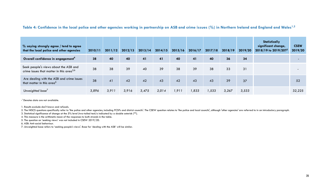Table 4: Confidence in the local police and other agencies working in partnership on ASB and crime issues (%) in Northern Ireland and England and Wales<sup>1,2</sup>

| $%$ saying strongly agree / tend to agree<br>that the local police and other agencies         | 2010/11 | 2011/12 | 2012/13 | 2013/14 | 2014/15 | 2015/16 | 2016/17 | 2017/18 | 2018/19 | 2019/20 | Statistically<br>significant change,<br>2018/19 to 2019/20?3 | <b>CSEW</b><br>2019/20 |
|-----------------------------------------------------------------------------------------------|---------|---------|---------|---------|---------|---------|---------|---------|---------|---------|--------------------------------------------------------------|------------------------|
| Overall confidence in engagement <sup>4</sup>                                                 | 38      | 40      | 40      | 41      | 41      | 40      | 41      | 40      | 36      | 34      |                                                              |                        |
| Seek people's views about the ASB and<br>crime issues that matter in this area <sup>5,6</sup> | 38      | 38      | 39      | 40      | 39      | 38      | 39      | 38      | 33      | 31      |                                                              |                        |
| Are dealing with the ASB and crime issues<br>that matter in this area <sup>o</sup>            | 38      | 41      | 42      | 42      | 43      | 42      | 43      | 43      | 39      | 37      |                                                              | 52                     |
| Unweighted base <sup>7</sup>                                                                  | 3,896   | 3,911   | 3,916   | 3,475   | 2,014   | 1,911   | 1,833   | 1,533   | 3,267   | 3,533   |                                                              | 32,225                 |

-' Denotes data are not available.

1. Results exclude don't knows and refusals.

2. The NISCS questions specifically refer to 'the police and other agencies, including PCSPs and district councils'. The CSEW question relates to 'the police and local councils', although 'other agencies' are referred to i

3. Statistical significance of change at the 5% level (two-tailed test) is indicated by a double asterisk (\*\*).

4. This measure is the arithmetic mean of the responses to both strands in the table.

5. The question on 'seeking views' was not included in CSEW 2019/20.

6. ASB: Anti-social behaviour.

7. Unweighted base refers to 'seeking people's views'. Base for 'dealing with the ASB' will be similar.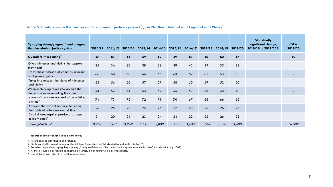| $\%$ saying strongly agree / tend to agree<br>that the criminal justice system | 2010/11 | 2011/12 | 2012/13 | 2013/14 | 2014/15 | 2015/16 | 2016/17 | 2017/18 | 2018/19 | 2019/20 | Statistically<br>significant change,<br>2018/19 to 2019/20? <sup>2</sup> | <b>CSEW</b><br>2019/20 |
|--------------------------------------------------------------------------------|---------|---------|---------|---------|---------|---------|---------|---------|---------|---------|--------------------------------------------------------------------------|------------------------|
| Overall fairness rating <sup>3</sup>                                           | 57      | 61      | 58      | 59      | 59      | 59      | 63      | 60      | 60      | 57      |                                                                          | 60                     |
| Gives witnesses and victims the support<br>they need                           | 35      | 36      | 36      | 38      | 38      | 39      | 42      | 39      | 35      | 33      |                                                                          |                        |
| Treats those accused of crime as innocent<br>until proven guilty               | 66      | 68      | 68      | 66      | 65      | 63      | 62      | 61      | 53      | 53      |                                                                          |                        |
| Takes into account the views of witnesses<br>and victims                       | 55      | 56      | 56      | 57      | 57      | 58      | 60      | 59      | 52      | 50      |                                                                          |                        |
| When sentencing takes into account the<br>circumstances surrounding the crime  | 54      | 54      | 54      | 53      | 52      | 55      | 57      | 53      | 48      | 48      |                                                                          |                        |
| Is too soft on those accused of committing<br>$a$ crime <sup>4</sup>           | 74      | 73      | 72      | 72      | 71      | 70      | 67      | 65      | 66      | 66      |                                                                          |                        |
| Achieves the correct balance between<br>the rights of offenders and victims    | 26      | 25      | 25      | 25      | 26      | 27      | 29      | 26      | 26      | 25      |                                                                          |                        |
| Discriminates against particular groups<br>or individuals <sup>4</sup>         | 21      | 20      | 21      | 23      | 24      | 24      | 22      | 22      | 26      | 25      |                                                                          |                        |
| Unweighted base <sup>5</sup>                                                   | 3,967   | 3,981   | 3,962   | 3,525   | 2,039   | 1,937   | 1,842   | 1,554   | 3,338   | 3,633   |                                                                          | 16,502                 |

### **Table 5: Confidence in the fairness of the criminal justice system (%) in Northern Ireland and England and Wales1**

- denotes question was not included in the survey

1. Results exclude don't knows and refusals.

2. Statistical significance of change at the 5% level (two-tailed test) is indicated by a double asterisk (\*\*).

3. Based on respondents saying they are very / fairly confident that 'the criminal justice system as a whole is fair' (introduced in July 2008).

4. As these would be perceived as negative outcomes, a high rating would be undesirable.

5. Unweighted base refers to overall fairness rating.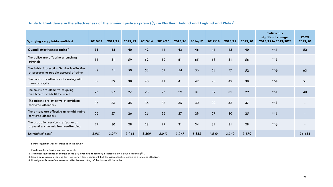### Table 6: Confidence in the effectiveness of the criminal justice system (%) in Northern Ireland and England and Wales<sup>1</sup>

| % saying very / fairly confident                                                      | 2010/11 | 2011/12 | 2012/13 | 2013/14 | 2014/15 | 2015/16 | 2016/17 | 2017/18 | 2018/19 | 2019/20 | Statistically<br>significant change,<br>2018/19 to 2019/20? <sup>2</sup> | <b>CSEW</b><br>2019/20 |
|---------------------------------------------------------------------------------------|---------|---------|---------|---------|---------|---------|---------|---------|---------|---------|--------------------------------------------------------------------------|------------------------|
| Overall effectiveness rating <sup>3</sup>                                             | 38      | 42      | 40      | 42      | 41      | 43      | 46      | 44      | 45      | 40      | $\ast\ast\bigarrow$                                                      | 52                     |
| The police are effective at catching<br>criminals                                     | 56      | 61      | 59      | 62      | 62      | 61      | 65      | 63      | 61      | 56      | $**$                                                                     |                        |
| The Public Prosecution Service is effective<br>at prosecuting people accused of crime | 49      | 51      | 50      | 53      | 51      | 54      | 56      | 58      | 57      | 52      | $**$                                                                     | 63                     |
| The courts are effective at dealing with<br>cases promptly                            | 37      | 39      | 38      | 40      | 41      | 41      | 42      | 43      | 42      | 38      | $** \downarrow$                                                          | 51                     |
| The courts are effective at giving<br>punishments which fit the crime                 | 25      | 27      | 27      | 28      | 27      | 29      | 31      | 32      | 32      | 29      | $** \downarrow$                                                          | 40                     |
| The prisons are effective at punishing<br>convicted offenders                         | 35      | 36      | 35      | 36      | 36      | 35      | 40      | 38      | 43      | 37      | $** \downarrow$                                                          |                        |
| The prisons are effective at rehabilitating<br>convicted offenders                    | 26      | 27      | 26      | 26      | 26      | 27      | 29      | 27      | 30      | 25      | $**$                                                                     |                        |
| The probation service is effective at<br>preventing criminals from reoffending        | 27      | 30      | 28      | 28      | 29      | 31      | 34      | 32      | 31      | 28      | $** \downarrow$                                                          |                        |
| Unweighted base <sup>4</sup>                                                          | 3,981   | 3,974   | 3,966   | 3,509   | 2,043   | 1,947   | 1,852   | 1,549   | 3,340   | 3,570   |                                                                          | 16,656                 |

- denotes question was not included in the survey

1. Results exclude don't knows and refusals.

2. Statistical significance of change at the 5% level (two-tailed test) is indicated by a double asterisk (\*\*).

3. Based on respondents saying they are very / fairly confident that 'the criminal justice system as a whole is effective'.

4. Unweighted base refers to overall effectiveness rating. Other bases will be similar.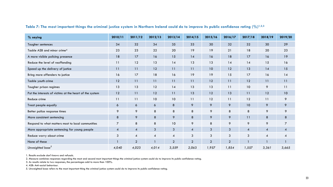| % saying                                                | 2010/11        | 2011/12        | 2012/13 | 2013/14      | 2014/15        | 2015/16        | 2016/17      | 2017/18        | 2018/19        | 2019/20 |
|---------------------------------------------------------|----------------|----------------|---------|--------------|----------------|----------------|--------------|----------------|----------------|---------|
| Tougher sentences                                       | 34             | 32             | 34      | 35           | 33             | 30             | 32           | 32             | 30             | 29      |
| Tackle ASB and minor crime <sup>4</sup>                 | 23             | 23             | 22      | 20           | 19             | 19             | 21           | 18             | 20             | 23      |
| A more visible policing presence                        | 18             | 17             | 16      | 15           | 14             | 16             | 18           | 17             | 16             | 19      |
| Reduce the level of reoffending                         | 11             | 12             | 13      | 14           | 13             | 13             | 14           | 14             | 15             | 16      |
| Speed up the delivery of justice                        | 11             | 11             | 12      | 11           | 11             | 10             | 12           | 13             | 14             | 15      |
| Bring more offenders to justice                         | 16             | 17             | 18      | 16           | 19             | 19             | 15           | 17             | 16             | 14      |
| Tackle youth crime                                      | 12             | 11             | 11      | 11           | 11             | 12             | 11           | 12             | 11             | 11      |
| Tougher prison regimes                                  | 13             | 13             | 12      | 14           | 13             | 13             | 11           | 10             | 9              | 11      |
| Put the interests of victims at the heart of the system | 12             | 11             | 12      | 11           | 13             | 12             | 13           | 11             | 12             | 10      |
| Reduce crime                                            | 11             | 11             | 10      | 10           | 11             | 12             | 11           | 12             | 11             | 9       |
| Treat people equally                                    | 6              | 6              | 6       | 8            | 9              | 9              | 9            | 10             | 9              | 9       |
| Better police response times                            | 9              | 9              | 8       | 8            | 8              | 9              | 8            | 8              | 9              | 9       |
| More consistent sentencing                              | 8              | 9              | 8       | 9            | 8              | 9              | 9            | 11             | 8              | 8       |
| Respond to what matters most to local communities       | $\overline{7}$ | 8              | 8       | 10           | 9              | 8              | 9            | 9              | 9              | 7       |
| More appropriate sentencing for young people            | $\overline{A}$ | $\overline{4}$ | 3       | 3            | $\overline{4}$ | $\mathbf{3}$   | $\mathbf{3}$ | $\overline{4}$ | $\overline{A}$ | 4       |
| Reduce worry about crime                                | 3              | $\overline{4}$ | 4       | 4            | 3              | 3              | 3            | 3              | 4              |         |
| None of these                                           |                | $\overline{2}$ |         | $\mathbf{2}$ | $\overline{2}$ | $\overline{2}$ | $\mathbf{2}$ |                |                |         |
| Unweighted base <sup>5</sup>                            | 4,040          | 4,023          | 4,014   | 3,559        | 2,063          | 1,957          | 1,854        | 1,557          | 3,361          | 3,665   |

### Table 7: The most important things the criminal justice system in Northern Ireland could do to improve its public confidence rating  $(\%)^{1,2,3}$

1. Results exclude don't knows and refusals.

2. Measure combines responses regarding the most and second most important things the criminal justice system could do to improve its public confidence rating.

3. As results relate to two responses, the percentages add to more than 100%.

4. ASB: Anti-social behaviour.

5. Unweighted base refers to the most important thing the criminal justice system could do to improve its public confidence rating.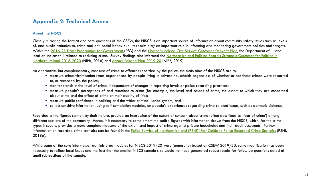### **Appendix 2: Technical Annex**

### **About the NISCS**

Closely mirroring the format and core questions of the CSEW, the NISCS is an important source of information about community safety issues such as levels of, and public attitudes to, crime and anti-social behaviour. Its results play an important role in informing and monitoring government policies and targets. Within the [2016-21 Draft Programme for Government](https://www.executiveoffice-ni.gov.uk/topics/programme-government) (PfG) and the [Northern Ireland Civil Service Outcomes Delivery Plan](https://www.executiveoffice-ni.gov.uk/publications/outcomes-delivery-plan-december-2019), the Department of Justice lead on Indicator 1 related to reducing crime. Survey findings also informed the Northern Ireland Policing Board's Strategic Outcomes for Policing in Northern Ireland 2016-2020 (NIPB, 2016) and [Annual Policing Plan 2019-20](https://www.nipolicingboard.org.uk/publication/annual-policing-plan-2019-20) (NIPB, 2019).

An alternative, but complementary, measure of crime to offences recorded by the police, the main aims of the NISCS are to:

- measure crime victimisation rates experienced by people living in private households regardless of whether or not these crimes were reported to, or recorded by, the police;
- monitor trends in the level of crime, independent of changes in reporting levels or police recording practices;
- measure people's perceptions of and reactions to crime (for example, the level and causes of crime, the extent to which they are concerned about crime and the effect of crime on their quality of life);
- measure public confidence in policing and the wider criminal justice system; and
- collect sensitive information, using self-completion modules, on people's experiences regarding crime-related issues, such as domestic violence.

Recorded crime figures cannot, by their nature, provide an impression of the extent of concern about crime (often described as 'fear of crime') among different sections of the community. Hence, it is necessary to complement the police figures with information drawn from the NISCS, which, for the crime types it covers, provides a more complete measure of the extent and impact of crime against private households and their adult occupants. Further information on recorded crime statistics can be found in the [Police Service of Northern Ireland \(PSNI\) User Guide to Police Recorded Crime Statistics](https://www.psni.police.uk/globalassets/inside-the-psni/our-statistics/police-recorded-crime-statistics/documents/crime-user-guide.pdf) (PSNI, 2018a).

While some of the core interviewer-administered modules for NISCS 2019/20 were (generally) based on CSEW 2019/20, some modification has been necessary to reflect local issues and the fact that the smaller NISCS sample size would not have generated robust results for follow-up questions asked of small sub-sections of the sample.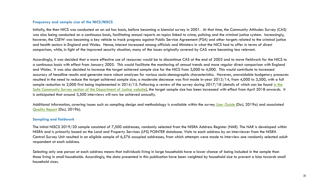### **Frequency and sample size of the NICS/NISCS**

Initially, the then NICS was conducted on an ad hoc basis, before becoming a biennial survey in 2001. At that time, the Community Attitudes Survey (CAS) was also being conducted on a continuous basis, facilitating annual reports on topics linked to crime, policing and the criminal justice system. Increasingly, however, the CSEW was becoming a key vehicle to track progress against Public Service Agreement (PSA) and other targets related to the criminal justice and health sectors in England and Wales. Hence, interest increased among officials and Ministers in what the NICS had to offer in terms of direct comparison, while, in light of the improved security situation, many of the issues originally covered by CAS were becoming less relevant.

Accordingly, it was decided that a more effective use of resources would be to discontinue CAS at the end of 2003 and to move fieldwork for the NICS to a continuous basis with effect from January 2005. This would facilitate the monitoring of annual trends and more regular direct comparison with England and Wales. It was also decided to increase the target achieved sample size for the NICS from 3,000 to 4,000. This would contribute to increased accuracy of headline results and generate more robust analyses for various socio-demographic characteristics. However, unavoidable budgetary pressures resulted in the need to reduce the target achieved sample size; a moderate decrease was first made in-year 2013/14, from 4,000 to 3,500, with a full sample reduction to 2,000 first being implemented in 2014/15. Following a review of the survey during 2017/18 (details of which can be found in the [Safe Community Survey section of the Department of Justice website\), the target sample size has been increased with effect from April 2018 onwards.](https://www.justice-ni.gov.uk/topics/safe-community-survey-publications) It is anticipated that around 3,500 interviews will now be achieved annually.

Additional information, covering issues such as sampling design and methodology is available within the survey [User Guide \(](https://www.justice-ni.gov.uk/publications/northern-ireland-crime-survey-user-guide)DoJ, 2019a) and associated [Quality Report](https://www.justice-ni.gov.uk/publications/northern-ireland-crime-survey-quality-report) (DoJ, 2019b).

#### **Sampling and fieldwork**

The initial NISCS 2019/20 sample consisted of 7,500 addresses, randomly selected from the NISRA Address Register (NAR). The NAR is developed within NISRA and is primarily based on the Land and Property Services (LPS) POINTER database. Visits to each address by an interviewer from the NISRA Central Survey Unit resulted in an eligible sample of 6,576 occupied addresses, from which attempts were made to interview one randomly selected adult respondent at each address.

Selecting only one person at each address means that individuals living in large households have a lower chance of being included in the sample than those living in small households. Accordingly, the data presented in this publication have been weighted by household size to prevent a bias towards small household sizes.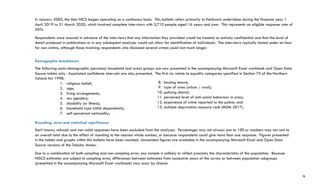In January 2005, the then NICS began operating on a continuous basis. This bulletin refers primarily to fieldwork undertaken during the financial year 1 April 2019 to 31 March 2020, which involved complete interviews with 3,710 people aged 16 years and over. This represents an eligible response rate of 56%.

Respondents were assured in advance of the interviews that any information they provided would be treated as entirely confidential and that the level of detail produced in publications or in any subsequent analyses would not allow for identification of individuals. The interviews typically lasted under an hour for non-victims, although those involving respondents who disclosed several crimes could last much longer.

### **Demographic breakdown**

The following socio-demographic (personal, household and area) groups are now presented in the accompanying Microsoft Excel workbook and Open Data Source tables only. Associated confidence intervals are also presented. The first six relate to equality categories specified in Section 75 of the Northern Ireland Act 1998:

| 1. religious belief;                  | 8. housing tenure;                                    |
|---------------------------------------|-------------------------------------------------------|
| age;                                  | 9. type of area (urban / rural);                      |
| 3. living arrangements;               | 10. policing district;                                |
| 4. sex (gender);                      | 11. perceived level of anti-social behaviour in area; |
| 5. disability (or illness);           | 12. experience of crime reported to the police; and   |
| 6. household type (child dependants); | 13. multiple deprivation measure rank (MDM 2017).     |
| self-perceived nationality;           |                                                       |

### **Rounding, error and statistical significance**

Don't knows, refusals and non-valid responses have been excluded from the analyses. Percentages may not always sum to 100 or numbers may not sum to an overall total due to the effect of rounding to the nearest whole number, or because respondents could give more than one response. Figures presented in the tables and graphs within this bulletin have been rounded. Unrounded figures are available in the accompanying Microsoft Excel and Open Data Source versions of the Tabular Annex.

Due to a combination of both sampling and non-sampling error, any sample is unlikely to reflect precisely the characteristics of the population. Because NISCS estimates are subject to sampling error, differences between estimates from successive years of the survey or between population subgroups (presented in the accompanying Microsoft Excel workbook) may occur by chance.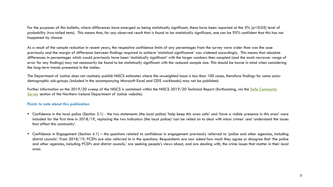For the purposes of this bulletin, where differences have emerged as being statistically significant, these have been reported at the 5% (p<0.05) level of probability (two-tailed tests). This means that, for any observed result that is found to be statistically significant, one can be 95% confident that this has not happened by chance.

As a result of the sample reduction in recent years, the respective confidence limits of any percentages from the survey were wider than was the case previously and the margin of difference between findings required to achieve 'statistical significance' was widened accordingly. This means that absolute differences in percentages which would previously have been 'statistically significant' with the larger numbers then sampled (and the much narrower range of error for any findings) may not necessarily be found to be statistically significant with the reduced sample size. This should be borne in mind when considering the long-term trends presented in the tables.

The Department of Justice does not routinely publish NISCS estimates where the unweighted base is less than 100 cases, therefore findings for some sociodemographic sub-groups (included in the accompanying Microsoft Excel and ODS workbooks) may not be published.

[Further information on the 2019/20 sweep of the NISCS is contained within the NISCS 2019/20 Technical Report \(forthcoming, via the Safe Community](https://www.justice-ni.gov.uk/user-documentation) Survey section of the Northern Ireland Department of Justice website).

### **Points to note about this publication**

- Confidence in the local police (Section 3.1) the two statements (the local police) 'help keep this area safe' and 'have a visible presence in this area' were included for the first time in 2018/19, replacing the two indicators (the local police) 'can be relied on to deal with minor crimes' and 'understand the issues that affect this community'.
- Confidence in Engagement (Section 4.1) the questions related to confidence in engagement previously referred to 'police and other agencies, including district councils'. From 2018/19, PCSPs are also referred to in the questions. Respondents are now asked how much they agree or disagree that 'the police and other agencies, including PCSPs and district councils,' are seeking people's views about, and are dealing with, the crime issues that matter in their local area.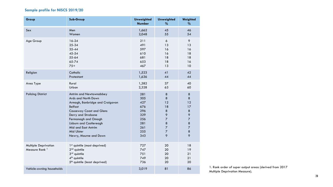### **Sample profile for NISCS 2019/20**

| Group                                                    | Sub-Group                                                                                                                                           | <b>Unweighted</b><br><b>Number</b> | <b>Unweighted</b><br>%     | Weighted<br>%              |
|----------------------------------------------------------|-----------------------------------------------------------------------------------------------------------------------------------------------------|------------------------------------|----------------------------|----------------------------|
| Sex                                                      | Men                                                                                                                                                 | 1,662                              | 45                         | 46                         |
|                                                          | Women                                                                                                                                               | 2,048                              | 55                         | 54                         |
| Age Group                                                | 16-24                                                                                                                                               | 211                                | 6                          | 9                          |
|                                                          | 25-34                                                                                                                                               | 491                                | 13                         | 13                         |
|                                                          | $35 - 44$                                                                                                                                           | 597                                | 16                         | 16                         |
|                                                          | 45-54                                                                                                                                               | 610                                | 16                         | 18                         |
|                                                          | 55-64                                                                                                                                               | 681                                | 18                         | 18                         |
|                                                          | 65-74                                                                                                                                               | 653                                | 18                         | 16                         |
|                                                          | $75+$                                                                                                                                               | 467                                | 13                         | 10                         |
| Religion                                                 | Catholic                                                                                                                                            | 1,523                              | 41                         | 42                         |
|                                                          | Protestant                                                                                                                                          | 1,636                              | 44                         | 44                         |
| Area Type                                                | Rural                                                                                                                                               | 1,382                              | 37                         | 40                         |
|                                                          | Urban                                                                                                                                               | 2,328                              | 63                         | 60                         |
| <b>Policing District</b>                                 | Antrim and Newtownabbey                                                                                                                             | 281                                | $\bf 8$                    | $\bf 8$                    |
|                                                          | Ards and North Down                                                                                                                                 | 305                                | 8                          | 8                          |
|                                                          | Armagh, Banbridge and Craigavon                                                                                                                     | 427                                | 12                         | 12                         |
|                                                          | <b>Belfast</b>                                                                                                                                      | 676                                | 18                         | 17                         |
|                                                          | <b>Causeway Coast and Glens</b>                                                                                                                     | 296                                | $\bf 8$                    | $\boldsymbol{8}$           |
|                                                          | Derry and Strabane                                                                                                                                  | 329                                | 9                          | $\mathsf{\circ}$           |
|                                                          | Fermanagh and Omagh                                                                                                                                 | 256                                | $\overline{7}$             | $\overline{7}$             |
|                                                          | Lisburn and Castlereagh                                                                                                                             | 281                                | 8                          | $\boldsymbol{8}$           |
|                                                          | Mid and East Antrim                                                                                                                                 | 261                                | $\overline{7}$             | $\overline{7}$             |
|                                                          | Mid Ulster                                                                                                                                          | 255                                | $\overline{\mathcal{I}}$   | $\boldsymbol{8}$           |
|                                                          | Newry, Mourne and Down                                                                                                                              | 343                                | 9                          | 9                          |
| <b>Multiple Deprivation</b><br>Measure Rank <sup>1</sup> | 1 <sup>st</sup> quintile (most deprived)<br>$2nd$ quintile<br>3rd quintile<br>4 <sup>th</sup> quintile<br>5 <sup>th</sup> quintile (least deprived) | 727<br>747<br>751<br>749<br>736    | 20<br>20<br>20<br>20<br>20 | 18<br>19<br>21<br>21<br>20 |
| Vehicle-owning households                                |                                                                                                                                                     | 3,019                              | 81                         | 86                         |

1. Rank order of super output areas (derived from 2017 Multiple Deprivation Measure).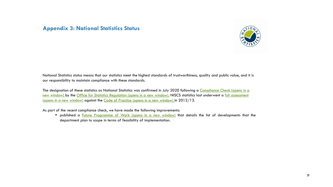### **Appendix 3: National Statistics Status**



National Statistics status means that our statistics meet the highest standards of trustworthiness, quality and public value, and it is our responsibility to maintain compliance with these standards.

[The designation of these statistics as National Statistics was confirmed in July 2020 following a Compliance Check \(opens in a](https://osr.statisticsauthority.gov.uk/correspondence/mark-pont-to-siobhan-carey-statistics-from-the-northern-ireland-safe-community-survey/) [new window\) by the Office for Statistics Regulation \(opens in a new window\).](https://www.statisticsauthority.gov.uk/publication/statistics-on-crime-and-justice-in-northern-ireland-letter-of-confirmation-as-national-statistics-1/) NISCS statistics last underwent a full assessment (opens in a new window) against the [Code of Practice \(opens in a new window\) i](https://code.statisticsauthority.gov.uk/)n 2012/13.

As part of the recent compliance check, we have made the following improvements:

**Published a Future [Programme of](https://www.justice-ni.gov.uk/publications/future-programme-work) Work (opens in a new window)** that details the list of developments that the department plan to scope in terms of feasibility of implementation.